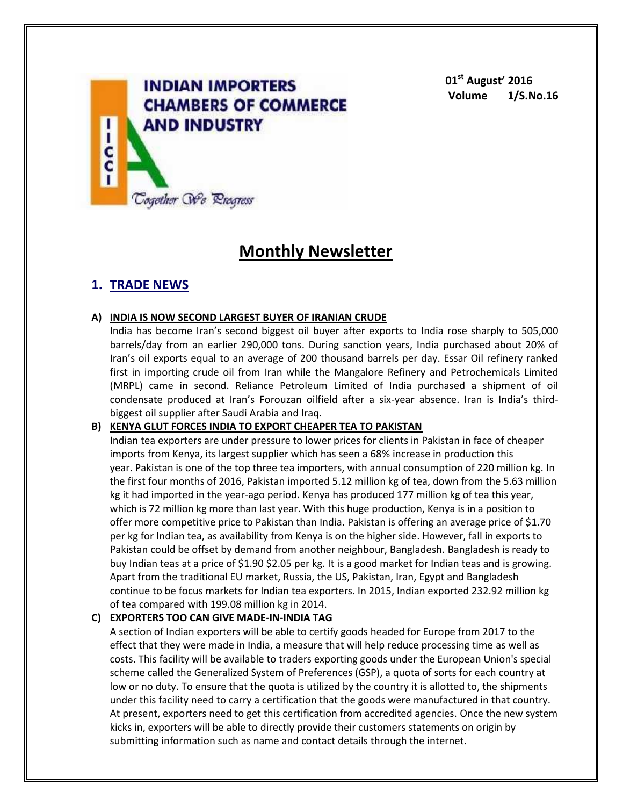

**01st August' 2016 Volume 1/S.No.16**

# **Monthly Newsletter**

# **1. TRADE NEWS**

#### **A) INDIA IS NOW SECOND LARGEST BUYER OF IRANIAN CRUDE**

India has become Iran's second biggest oil buyer after exports to India rose sharply to 505,000 barrels/day from an earlier 290,000 tons. During sanction years, India purchased about 20% of Iran's oil exports equal to an average of 200 thousand barrels per day. Essar Oil refinery ranked first in importing crude oil from Iran while the Mangalore Refinery and Petrochemicals Limited (MRPL) came in second. Reliance Petroleum Limited of India purchased a shipment of oil condensate produced at Iran's Forouzan oilfield after a six-year absence. Iran is India's thirdbiggest oil supplier after Saudi Arabia and Iraq.

# **B) KENYA GLUT FORCES INDIA TO EXPORT CHEAPER TEA TO PAKISTAN**

Indian tea exporters are under pressure to lower prices for clients in Pakistan in face of cheaper imports from Kenya, its largest supplier which has seen a 68% increase in production this year. Pakistan is one of the top three tea importers, with annual consumption of 220 million kg. In the first four months of 2016, Pakistan imported 5.12 million kg of tea, down from the 5.63 million kg it had imported in the year-ago period. Kenya has produced 177 million kg of tea this year, which is 72 million kg more than last year. With this huge production, Kenya is in a position to offer more competitive price to Pakistan than India. Pakistan is offering an average price of \$1.70 per kg for Indian tea, as availability from Kenya is on the higher side. However, fall in exports to Pakistan could be offset by demand from another neighbour, Bangladesh. Bangladesh is ready to buy Indian teas at a price of \$1.90 \$2.05 per kg. It is a good market for Indian teas and is growing. Apart from the traditional EU market, Russia, the US, Pakistan, Iran, Egypt and Bangladesh continue to be focus markets for Indian tea exporters. In 2015, Indian exported 232.92 million kg of tea compared with 199.08 million kg in 2014.

# **C) EXPORTERS TOO CAN GIVE MADE-IN-INDIA TAG**

A section of Indian exporters will be able to certify goods headed for Europe from 2017 to the effect that they were made in India, a measure that will help reduce processing time as well as costs. This facility will be available to traders exporting goods under the European Union's special scheme called the Generalized System of Preferences (GSP), a quota of sorts for each country at low or no duty. To ensure that the quota is utilized by the country it is allotted to, the shipments under this facility need to carry a certification that the goods were manufactured in that country. At present, exporters need to get this certification from accredited agencies. Once the new system kicks in, exporters will be able to directly provide their customers statements on origin by submitting information such as name and contact details through the internet.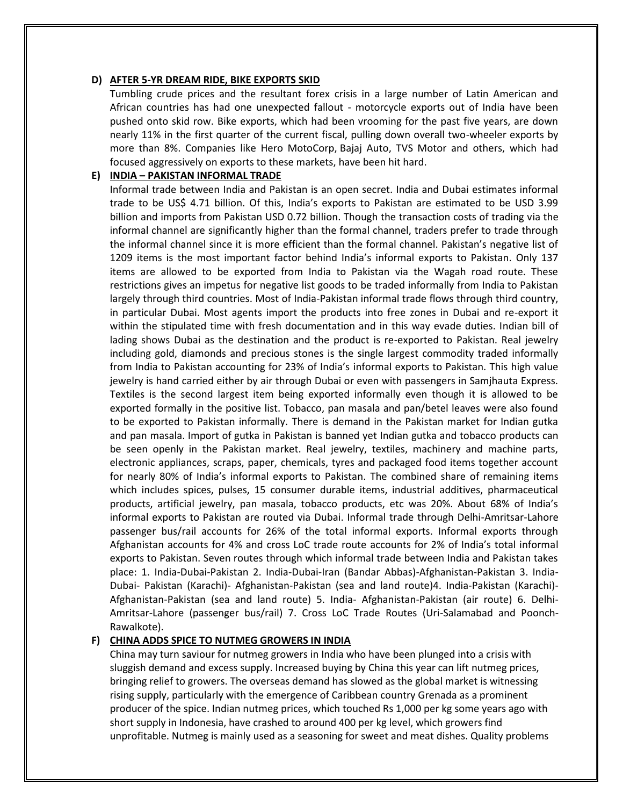#### **D) AFTER 5-YR DREAM RIDE, BIKE EXPORTS SKID**

Tumbling crude prices and the resultant forex crisis in a large number of Latin American and African countries has had one unexpected fallout - motorcycle exports out of India have been pushed onto skid row. Bike exports, which had been vrooming for the past five years, are down nearly 11% in the first quarter of the current fiscal, pulling down overall two-wheeler exports by more than 8%. Companies like Hero MotoCorp, Bajaj Auto, TVS Motor and others, which had focused aggressively on exports to these markets, have been hit hard.

#### **E) INDIA – PAKISTAN INFORMAL TRADE**

Informal trade between India and Pakistan is an open secret. India and Dubai estimates informal trade to be US\$ 4.71 billion. Of this, India's exports to Pakistan are estimated to be USD 3.99 billion and imports from Pakistan USD 0.72 billion. Though the transaction costs of trading via the informal channel are significantly higher than the formal channel, traders prefer to trade through the informal channel since it is more efficient than the formal channel. Pakistan's negative list of 1209 items is the most important factor behind India's informal exports to Pakistan. Only 137 items are allowed to be exported from India to Pakistan via the Wagah road route. These restrictions gives an impetus for negative list goods to be traded informally from India to Pakistan largely through third countries. Most of India-Pakistan informal trade flows through third country, in particular Dubai. Most agents import the products into free zones in Dubai and re-export it within the stipulated time with fresh documentation and in this way evade duties. Indian bill of lading shows Dubai as the destination and the product is re-exported to Pakistan. Real jewelry including gold, diamonds and precious stones is the single largest commodity traded informally from India to Pakistan accounting for 23% of India's informal exports to Pakistan. This high value jewelry is hand carried either by air through Dubai or even with passengers in Samjhauta Express. Textiles is the second largest item being exported informally even though it is allowed to be exported formally in the positive list. Tobacco, pan masala and pan/betel leaves were also found to be exported to Pakistan informally. There is demand in the Pakistan market for Indian gutka and pan masala. Import of gutka in Pakistan is banned yet Indian gutka and tobacco products can be seen openly in the Pakistan market. Real jewelry, textiles, machinery and machine parts, electronic appliances, scraps, paper, chemicals, tyres and packaged food items together account for nearly 80% of India's informal exports to Pakistan. The combined share of remaining items which includes spices, pulses, 15 consumer durable items, industrial additives, pharmaceutical products, artificial jewelry, pan masala, tobacco products, etc was 20%. About 68% of India's informal exports to Pakistan are routed via Dubai. Informal trade through Delhi-Amritsar-Lahore passenger bus/rail accounts for 26% of the total informal exports. Informal exports through Afghanistan accounts for 4% and cross LoC trade route accounts for 2% of India's total informal exports to Pakistan. Seven routes through which informal trade between India and Pakistan takes place: 1. India-Dubai-Pakistan 2. India-Dubai-Iran (Bandar Abbas)-Afghanistan-Pakistan 3. India-Dubai- Pakistan (Karachi)- Afghanistan-Pakistan (sea and land route)4. India-Pakistan (Karachi)- Afghanistan-Pakistan (sea and land route) 5. India- Afghanistan-Pakistan (air route) 6. Delhi-Amritsar-Lahore (passenger bus/rail) 7. Cross LoC Trade Routes (Uri-Salamabad and Poonch-Rawalkote).

#### **F) CHINA ADDS SPICE TO NUTMEG GROWERS IN INDIA**

China may turn saviour for nutmeg growers in India who have been plunged into a crisis with sluggish demand and excess supply. Increased buying by China this year can lift nutmeg prices, bringing relief to growers. The overseas demand has slowed as the global market is witnessing rising supply, particularly with the emergence of Caribbean country Grenada as a prominent producer of the spice. Indian nutmeg prices, which touched Rs 1,000 per kg some years ago with short supply in Indonesia, have crashed to around 400 per kg level, which growers find unprofitable. Nutmeg is mainly used as a seasoning for sweet and meat dishes. Quality problems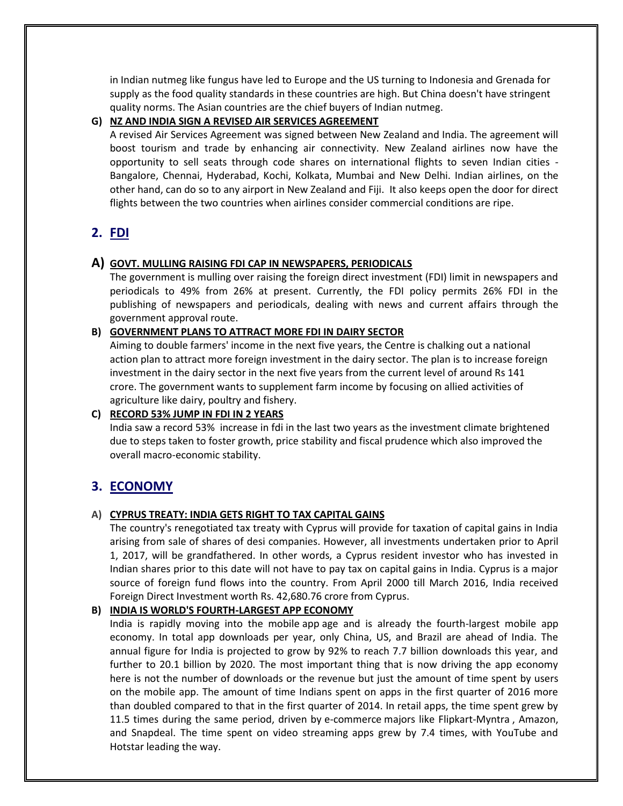in Indian nutmeg like fungus have led to Europe and the US turning to Indonesia and Grenada for supply as the food quality standards in these countries are high. But China doesn't have stringent quality norms. The Asian countries are the chief buyers of Indian nutmeg.

#### **G) NZ AND INDIA SIGN A REVISED AIR SERVICES AGREEMENT**

A revised Air Services Agreement was signed between New Zealand and India. The agreement will boost tourism and trade by enhancing air connectivity. New Zealand airlines now have the opportunity to sell seats through code shares on international flights to seven Indian cities - Bangalore, Chennai, Hyderabad, Kochi, Kolkata, Mumbai and New Delhi. Indian airlines, on the other hand, can do so to any airport in New Zealand and Fiji. It also keeps open the door for direct flights between the two countries when airlines consider commercial conditions are ripe.

# **2. FDI**

# **A) GOVT. MULLING RAISING FDI CAP IN NEWSPAPERS, PERIODICALS**

The government is mulling over raising the foreign direct investment (FDI) limit in newspapers and periodicals to 49% from 26% at present. Currently, the FDI policy permits 26% FDI in the publishing of newspapers and periodicals, dealing with news and current affairs through the government approval route.

#### **B) GOVERNMENT PLANS TO ATTRACT MORE FDI IN DAIRY SECTOR**

Aiming to double farmers' income in the next five years, the Centre is chalking out a national action plan to attract more foreign investment in the dairy sector. The plan is to increase foreign investment in the dairy sector in the next five years from the current level of around Rs 141 crore. The government wants to supplement farm income by focusing on allied activities of agriculture like dairy, poultry and fishery.

# **C) RECORD 53% JUMP IN FDI IN 2 YEARS**

India saw a record 53% increase in fdi in the last two years as the investment climate brightened due to steps taken to foster growth, price stability and fiscal prudence which also improved the overall macro-economic stability.

# **3. ECONOMY**

# **A) CYPRUS TREATY: INDIA GETS RIGHT TO TAX CAPITAL GAINS**

The country's renegotiated tax treaty with Cyprus will provide for taxation of capital gains in India arising from sale of shares of desi companies. However, all investments undertaken prior to April 1, 2017, will be grandfathered. In other words, a Cyprus resident investor who has invested in Indian shares prior to this date will not have to pay tax on capital gains in India. Cyprus is a major source of foreign fund flows into the country. From April 2000 till March 2016, India received Foreign Direct Investment worth Rs. 42,680.76 crore from Cyprus.

# **B) INDIA IS WORLD'S FOURTH-LARGEST APP ECONOMY**

India is rapidly moving into the mobile app age and is already the fourth-largest mobile app economy. In total app downloads per year, only China, US, and Brazil are ahead of India. The annual figure for India is projected to grow by 92% to reach 7.7 billion downloads this year, and further to 20.1 billion by 2020. The most important thing that is now driving the app economy here is not the number of downloads or the revenue but just the amount of time spent by users on the mobile app. The amount of time Indians spent on apps in the first quarter of 2016 more than doubled compared to that in the first quarter of 2014. In retail apps, the time spent grew by 11.5 times during the same period, driven by e-commerce majors like Flipkart-Myntra , Amazon, and Snapdeal. The time spent on video streaming apps grew by 7.4 times, with YouTube and Hotstar leading the way.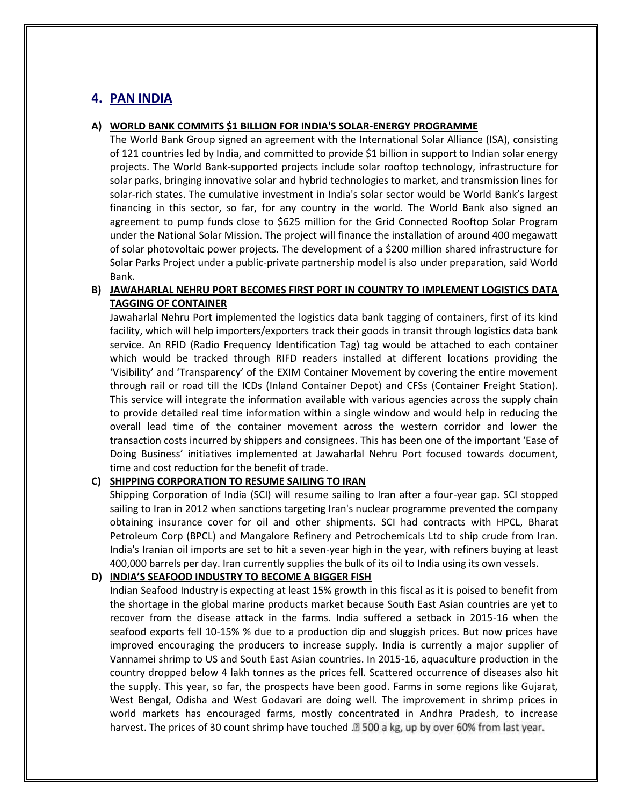# **4. PAN INDIA**

#### **A) WORLD BANK COMMITS \$1 BILLION FOR INDIA'S SOLAR-ENERGY PROGRAMME**

The World Bank Group signed an agreement with the International Solar Alliance (ISA), consisting of 121 countries led by India, and committed to provide \$1 billion in support to Indian solar energy projects. The World Bank-supported projects include solar rooftop technology, infrastructure for solar parks, bringing innovative solar and hybrid technologies to market, and transmission lines for solar-rich states. The cumulative investment in India's solar sector would be World Bank's largest financing in this sector, so far, for any country in the world. The World Bank also signed an agreement to pump funds close to \$625 million for the Grid Connected Rooftop Solar Program under the National Solar Mission. The project will finance the installation of around 400 megawatt of solar photovoltaic power projects. The development of a \$200 million shared infrastructure for Solar Parks Project under a public-private partnership model is also under preparation, said World Bank.

# **B) JAWAHARLAL NEHRU PORT BECOMES FIRST PORT IN COUNTRY TO IMPLEMENT LOGISTICS DATA TAGGING OF CONTAINER**

Jawaharlal Nehru Port implemented the logistics data bank tagging of containers, first of its kind facility, which will help importers/exporters track their goods in transit through logistics data bank service. An RFID (Radio Frequency Identification Tag) tag would be attached to each container which would be tracked through RIFD readers installed at different locations providing the 'Visibility' and 'Transparency' of the EXIM Container Movement by covering the entire movement through rail or road till the ICDs (Inland Container Depot) and CFSs (Container Freight Station). This service will integrate the information available with various agencies across the supply chain to provide detailed real time information within a single window and would help in reducing the overall lead time of the container movement across the western corridor and lower the transaction costs incurred by shippers and consignees. This has been one of the important 'Ease of Doing Business' initiatives implemented at Jawaharlal Nehru Port focused towards document, time and cost reduction for the benefit of trade.

#### **C) SHIPPING CORPORATION TO RESUME SAILING TO IRAN**

Shipping Corporation of India (SCI) will resume sailing to Iran after a four-year gap. SCI stopped sailing to Iran in 2012 when sanctions targeting Iran's nuclear programme prevented the company obtaining insurance cover for oil and other shipments. SCI had contracts with HPCL, Bharat Petroleum Corp (BPCL) and Mangalore Refinery and Petrochemicals Ltd to ship crude from Iran. India's Iranian oil imports are set to hit a seven-year high in the year, with refiners buying at least 400,000 barrels per day. Iran currently supplies the bulk of its oil to India using its own vessels.

#### **D) INDIA'S SEAFOOD INDUSTRY TO BECOME A BIGGER FISH**

Indian Seafood Industry is expecting at least 15% growth in this fiscal as it is poised to benefit from the shortage in the global marine products market because South East Asian countries are yet to recover from the disease attack in the farms. India suffered a setback in 2015-16 when the seafood exports fell 10-15% % due to a production dip and sluggish prices. But now prices have improved encouraging the producers to increase supply. India is currently a major supplier of Vannamei shrimp to US and South East Asian countries. In 2015-16, aquaculture production in the country dropped below 4 lakh tonnes as the prices fell. Scattered occurrence of diseases also hit the supply. This year, so far, the prospects have been good. Farms in some regions like Gujarat, West Bengal, Odisha and West Godavari are doing well. The improvement in shrimp prices in world markets has encouraged farms, mostly concentrated in Andhra Pradesh, to increase harvest. The prices of 30 count shrimp have touched . 2500 a kg, up by over 60% from last year.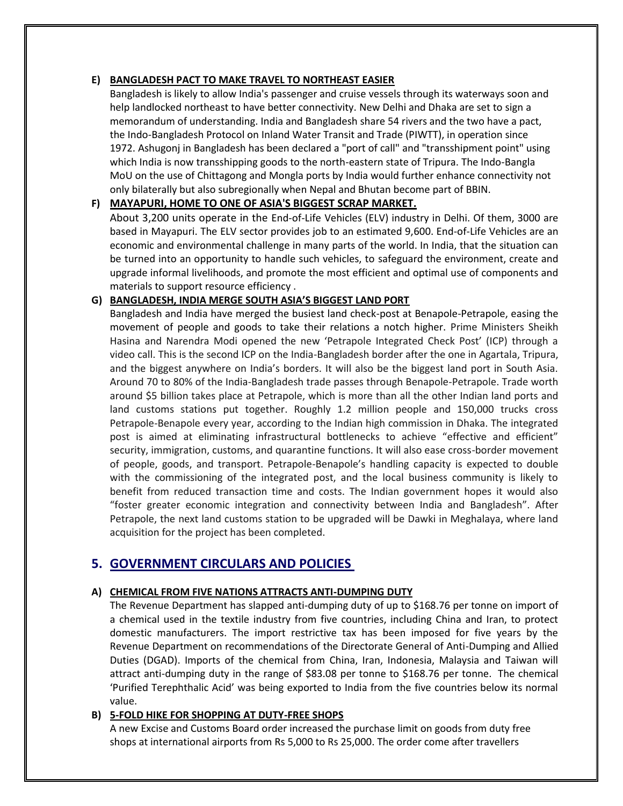# **E) BANGLADESH PACT TO MAKE TRAVEL TO NORTHEAST EASIER**

Bangladesh is likely to allow India's passenger and cruise vessels through its waterways soon and help landlocked northeast to have better connectivity. New Delhi and Dhaka are set to sign a memorandum of understanding. India and Bangladesh share 54 rivers and the two have a pact, the Indo-Bangladesh Protocol on Inland Water Transit and Trade (PIWTT), in operation since 1972. Ashugonj in Bangladesh has been declared a "port of call" and "transshipment point" using which India is now transshipping goods to the north-eastern state of Tripura. The Indo-Bangla MoU on the use of Chittagong and Mongla ports by India would further enhance connectivity not only bilaterally but also subregionally when Nepal and Bhutan become part of BBIN.

# **F) MAYAPURI, HOME TO ONE OF ASIA'S BIGGEST SCRAP MARKET.**

About 3,200 units operate in the End-of-Life Vehicles (ELV) industry in Delhi. Of them, 3000 are based in Mayapuri. The ELV sector provides job to an estimated 9,600. End-of-Life Vehicles are an economic and environmental challenge in many parts of the world. In India, that the situation can be turned into an opportunity to handle such vehicles, to safeguard the environment, create and upgrade informal livelihoods, and promote the most efficient and optimal use of components and materials to support resource efficiency .

# **G) BANGLADESH, INDIA MERGE SOUTH ASIA'S BIGGEST LAND PORT**

Bangladesh and India have merged the busiest land check-post at Benapole-Petrapole, easing the movement of people and goods to take their relations a notch higher. Prime Ministers Sheikh Hasina and Narendra Modi opened the new 'Petrapole Integrated Check Post' (ICP) through a video call. This is the second ICP on the India-Bangladesh border after the one in Agartala, Tripura, and the biggest anywhere on India's borders. It will also be the biggest land port in South Asia. Around 70 to 80% of the India-Bangladesh trade passes through Benapole-Petrapole. Trade worth around \$5 billion takes place at Petrapole, which is more than all the other Indian land ports and land customs stations put together. Roughly 1.2 million people and 150,000 trucks cross Petrapole-Benapole every year, according to the Indian high commission in Dhaka. The integrated post is aimed at eliminating infrastructural bottlenecks to achieve "effective and efficient" security, immigration, customs, and quarantine functions. It will also ease cross-border movement of people, goods, and transport. Petrapole-Benapole's handling capacity is expected to double with the commissioning of the integrated post, and the local business community is likely to benefit from reduced transaction time and costs. The Indian government hopes it would also "foster greater economic integration and connectivity between India and Bangladesh". After Petrapole, the next land customs station to be upgraded will be Dawki in Meghalaya, where land acquisition for the project has been completed.

# **5. GOVERNMENT CIRCULARS AND POLICIES**

# **A) CHEMICAL FROM FIVE NATIONS ATTRACTS ANTI-DUMPING DUTY**

The Revenue Department has slapped anti-dumping duty of up to \$168.76 per tonne on import of a chemical used in the textile industry from five countries, including China and Iran, to protect domestic manufacturers. The import restrictive tax has been imposed for five years by the Revenue Department on recommendations of the Directorate General of Anti-Dumping and Allied Duties (DGAD). Imports of the chemical from China, Iran, Indonesia, Malaysia and Taiwan will attract anti-dumping duty in the range of \$83.08 per tonne to \$168.76 per tonne. The chemical 'Purified Terephthalic Acid' was being exported to India from the five countries below its normal value.

# **B) 5-FOLD HIKE FOR SHOPPING AT DUTY-FREE SHOPS**

A new Excise and Customs Board order increased the purchase limit on goods from duty free shops at international airports from Rs 5,000 to Rs 25,000. The order come after travellers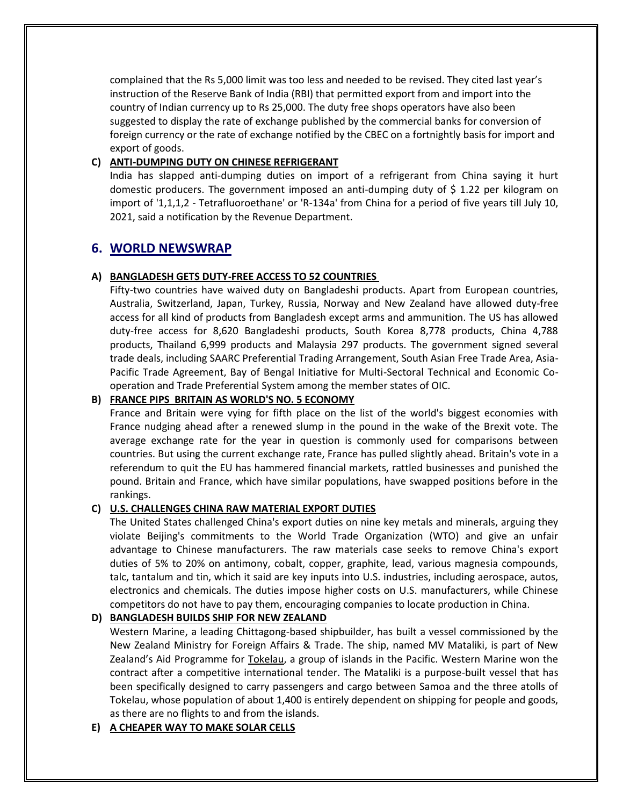complained that the Rs 5,000 limit was too less and needed to be revised. They cited last year's instruction of the Reserve Bank of India (RBI) that permitted export from and import into the country of Indian currency up to Rs 25,000. The duty free shops operators have also been suggested to display the rate of exchange published by the commercial banks for conversion of foreign currency or the rate of exchange notified by the CBEC on a fortnightly basis for import and export of goods.

# **C) ANTI-DUMPING DUTY ON CHINESE REFRIGERANT**

India has slapped anti-dumping duties on import of a refrigerant from China saying it hurt domestic producers. The government imposed an anti-dumping duty of  $\frac{1}{2}$  1.22 per kilogram on import of '1,1,1,2 - Tetrafluoroethane' or 'R-134a' from China for a period of five years till July 10, 2021, said a notification by the Revenue Department.

# **6. WORLD NEWSWRAP**

# **A) BANGLADESH GETS DUTY-FREE ACCESS TO 52 COUNTRIES**

Fifty-two countries have waived duty on Bangladeshi products. Apart from European countries, Australia, Switzerland, Japan, Turkey, Russia, Norway and New Zealand have allowed duty-free access for all kind of products from Bangladesh except arms and ammunition. The US has allowed duty-free access for 8,620 Bangladeshi products, South Korea 8,778 products, China 4,788 products, Thailand 6,999 products and Malaysia 297 products. The government signed several trade deals, including SAARC Preferential Trading Arrangement, South Asian Free Trade Area, Asia-Pacific Trade Agreement, Bay of Bengal Initiative for Multi-Sectoral Technical and Economic Cooperation and Trade Preferential System among the member states of OIC.

# **B) FRANCE PIPS BRITAIN AS WORLD'S NO. 5 ECONOMY**

France and Britain were vying for fifth place on the list of the world's biggest economies with France nudging ahead after a renewed slump in the pound in the wake of the Brexit vote. The average exchange rate for the year in question is commonly used for comparisons between countries. But using the current exchange rate, France has pulled slightly ahead. Britain's vote in a referendum to quit the EU has hammered financial markets, rattled businesses and punished the pound. Britain and France, which have similar populations, have swapped positions before in the rankings.

# **C) U.S. CHALLENGES CHINA RAW MATERIAL EXPORT DUTIES**

The United States challenged China's export duties on nine key metals and minerals, arguing they violate Beijing's commitments to the World Trade Organization (WTO) and give an unfair advantage to Chinese manufacturers. The raw materials case seeks to remove China's export duties of 5% to 20% on antimony, cobalt, copper, graphite, lead, various magnesia compounds, talc, tantalum and tin, which it said are key inputs into U.S. industries, including aerospace, autos, electronics and chemicals. The duties impose higher costs on U.S. manufacturers, while Chinese competitors do not have to pay them, encouraging companies to locate production in China.

# **D) BANGLADESH BUILDS SHIP FOR NEW ZEALAND**

Western Marine, a leading Chittagong-based shipbuilder, has built a vessel commissioned by the New Zealand Ministry for Foreign Affairs & Trade. The ship, named MV Mataliki, is part of New Zealand's Aid Programme for Tokelau, a group of islands in the Pacific. Western Marine won the contract after a competitive international tender. The Mataliki is a purpose-built vessel that has been specifically designed to carry passengers and cargo between Samoa and the three atolls of Tokelau, whose population of about 1,400 is entirely dependent on shipping for people and goods, as there are no flights to and from the islands.

# **E) A CHEAPER WAY TO MAKE SOLAR CELLS**